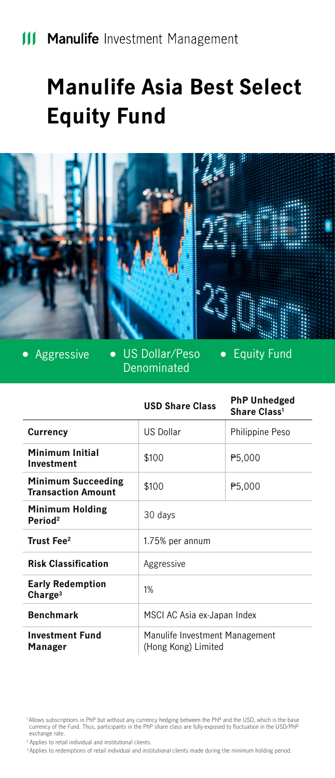# **Manulife Asia Best Select Equity Fund**



**•** Equity Fund Aggressive • US Dollar/Peso  $\bullet$ Denominated

|                                                        | <b>USD Share Class</b>                                | <b>PhP Unhedged</b><br>Share Class <sup>1</sup> |
|--------------------------------------------------------|-------------------------------------------------------|-------------------------------------------------|
| Currency                                               | <b>US Dollar</b>                                      | Philippine Peso                                 |
| Minimum Initial<br>Investment                          | \$100                                                 | ₱5.000                                          |
| <b>Minimum Succeeding</b><br><b>Transaction Amount</b> | \$100                                                 | P5,000                                          |
| <b>Minimum Holding</b><br>Period <sup>2</sup>          | 30 days                                               |                                                 |
| Trust Fee <sup>2</sup>                                 | 1.75% per annum                                       |                                                 |
| <b>Risk Classification</b>                             | Aggressive                                            |                                                 |
| <b>Early Redemption</b><br>Change <sup>3</sup>         | 1%                                                    |                                                 |
| <b>Benchmark</b>                                       | MSCI AC Asia ex-Japan Index                           |                                                 |
| <b>Investment Fund</b><br>Manager                      | Manulife Investment Management<br>(Hong Kong) Limited |                                                 |

2 Applies to retail individual and institutional clients.

3 Applies to redemptions of retail individual and institutional clients made during the minimum holding period.

 <sup>1</sup> Allows subscriptions in PhP but without any currency hedging between the PhP and the USD, which is the base currency of the Fund. Thus, participants in the PhP share class are fully-exposed to fluctuation in the USD/PhP exchange rate.